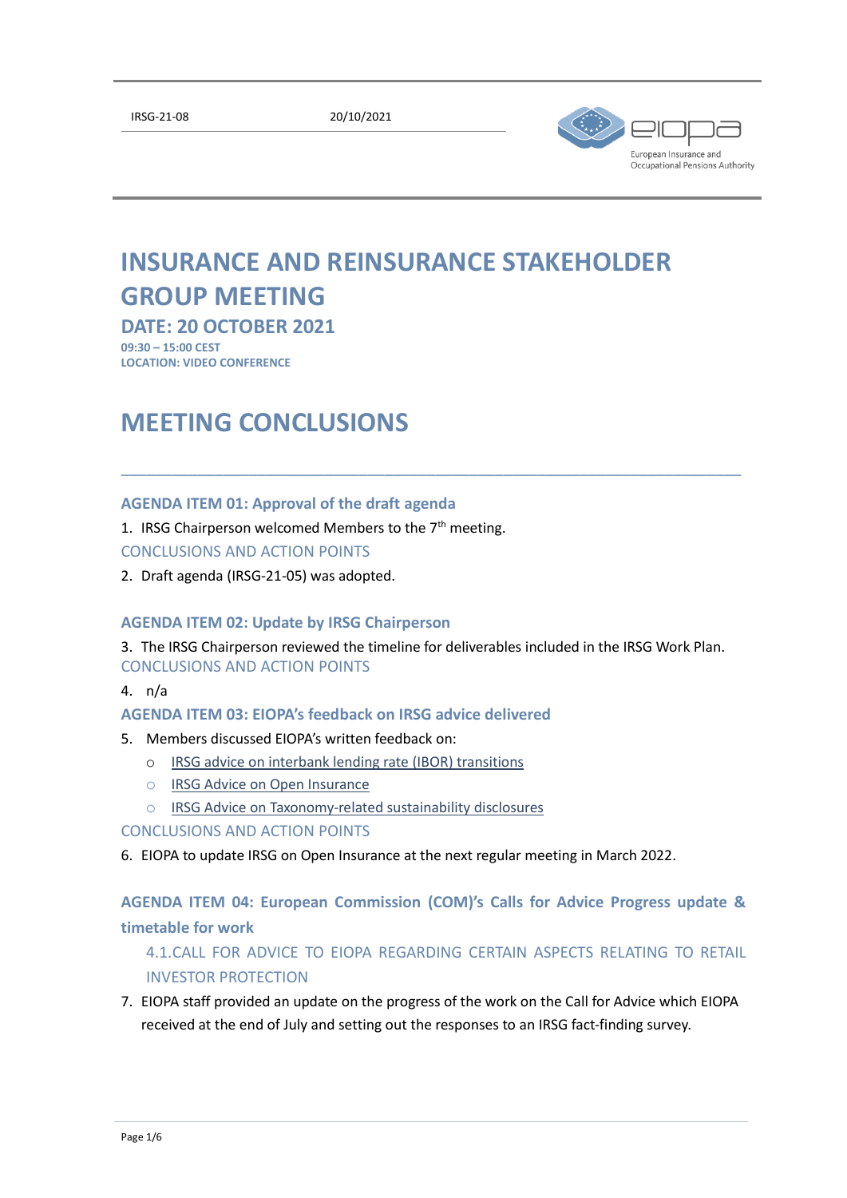[IRSG-21-08](file:///C:/Users/ouilladefl/AppData/Local/Microsoft/Windows/frval/AppData/Local/Microsoft/Windows/INetCache/Content.Outlook/AppData/Local/Microsoft/Windows/INetCache/AppData/Local/Microsoft/irsg/mtgs) 20/10/2021



# **INSURANCE AND REINSURANCE STAKEHOLDER GROUP MEETING**

**DATE: 20 OCTOBER 2021**

**09:30 – 15:00 CEST LOCATION: VIDEO CONFERENCE**

# **MEETING CONCLUSIONS**

### **AGENDA ITEM 01: Approval of the draft agenda**

1. IRSG Chairperson welcomed Members to the  $7<sup>th</sup>$  meeting.

## CONCLUSIONS AND ACTION POINTS

2. Draft agenda (IRSG-21-05) was adopted.

#### **AGENDA ITEM 02: Update by IRSG Chairperson**

3. The IRSG Chairperson reviewed the timeline for deliverables included in the IRSG Work Plan. CONCLUSIONS AND ACTION POINTS

\_\_\_\_\_\_\_\_\_\_\_\_\_\_\_\_\_\_\_\_\_\_\_\_\_\_\_\_\_\_\_\_\_\_\_\_\_\_\_\_\_\_\_\_\_\_\_\_\_\_\_\_\_\_\_\_\_\_\_\_\_\_\_\_\_\_\_\_\_\_\_\_\_

4. n/a

#### **AGENDA ITEM 03: EIOPA's feedback on IRSG advice delivered**

- 5. Members discussed EIOPA's written feedback on:
	- o [IRSG advice on interbank lending rate \(IBOR\) transitions](https://www.eiopa.europa.eu/document-library/shg-advice/irsg-advice-interbank-lending-rate-ibor-transitions)
	- o [IRSG Advice on Open Insurance](https://www.eiopa.europa.eu/document-library/shg-advice/irsg-advice-open-insurance)
	- o [IRSG Advice on Taxonomy-related sustainability disclosures](https://www.eiopa.europa.eu/document-library/shg-advice/irsg-advice-taxonomy-related-sustainability-disclosures)

### CONCLUSIONS AND ACTION POINTS

6. EIOPA to update IRSG on Open Insurance at the next regular meeting in March 2022.

**AGENDA ITEM 04: European Commission (COM)'s Calls for Advice Progress update & timetable for work**

4.1.CALL FOR ADVICE TO EIOPA REGARDING CERTAIN ASPECTS RELATING TO RETAIL INVESTOR PROTECTION

7. EIOPA staff provided an update on the progress of the work on the Call for Advice which EIOPA received at the end of July and setting out the responses to an IRSG fact-finding survey.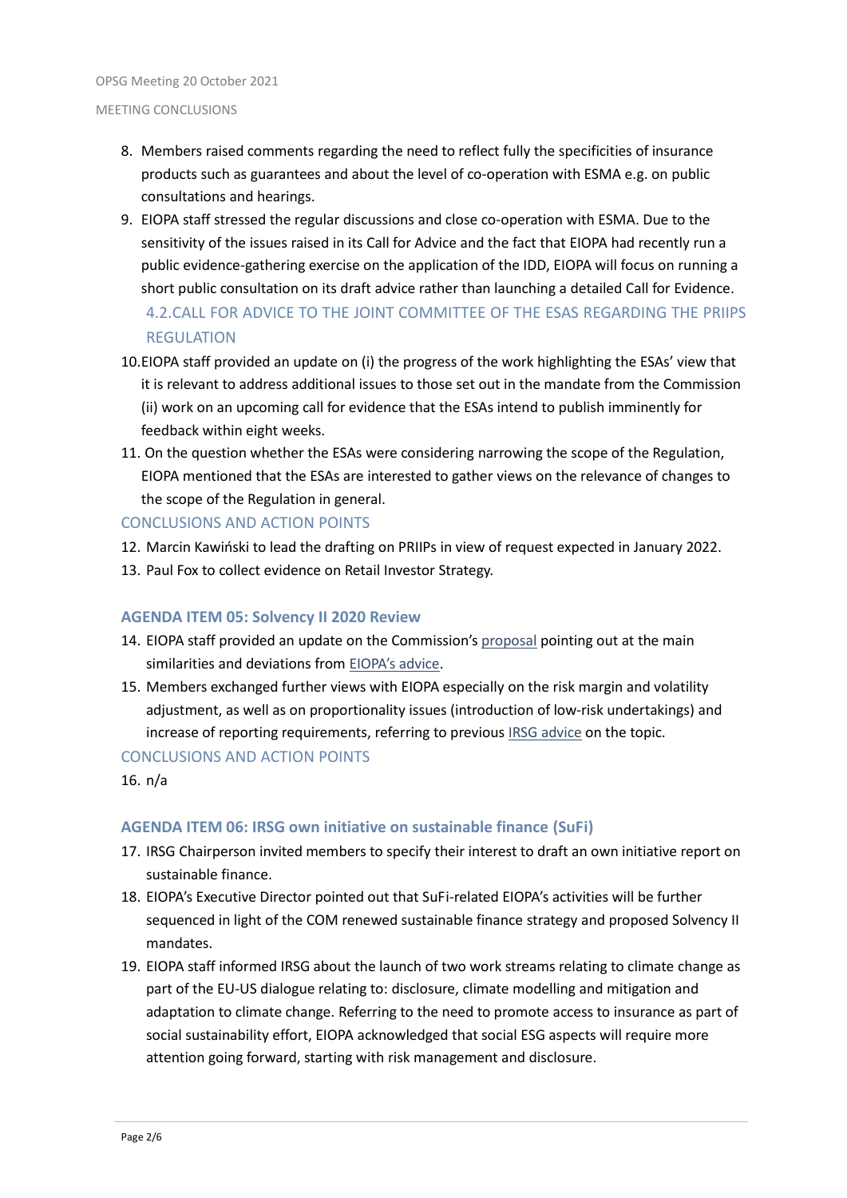- 8. Members raised comments regarding the need to reflect fully the specificities of insurance products such as guarantees and about the level of co-operation with ESMA e.g. on public consultations and hearings.
- 9. EIOPA staff stressed the regular discussions and close co-operation with ESMA. Due to the sensitivity of the issues raised in its Call for Advice and the fact that EIOPA had recently run a public evidence-gathering exercise on the application of the IDD, EIOPA will focus on running a short public consultation on its draft advice rather than launching a detailed Call for Evidence. 4.2.CALL FOR ADVICE TO THE JOINT COMMITTEE OF THE ESAS REGARDING THE PRIIPS REGULATION
- 10.EIOPA staff provided an update on (i) the progress of the work highlighting the ESAs' view that it is relevant to address additional issues to those set out in the mandate from the Commission (ii) work on an upcoming call for evidence that the ESAs intend to publish imminently for feedback within eight weeks.
- 11. On the question whether the ESAs were considering narrowing the scope of the Regulation, EIOPA mentioned that the ESAs are interested to gather views on the relevance of changes to the scope of the Regulation in general.

### CONCLUSIONS AND ACTION POINTS

- 12. Marcin Kawiński to lead the drafting on PRIIPs in view of request expected in January 2022.
- 13. Paul Fox to collect evidence on Retail Investor Strategy.

## **AGENDA ITEM 05: Solvency II 2020 Review**

- 14. EIOPA staff provided an update on the Commission's [proposal](https://ec.europa.eu/info/publications/210922-solvency-2-communication_en) pointing out at the main similarities and deviations from [EIOPA's advice](https://www.eiopa.europa.eu/browse/solvency-ii/2020-review-of-solvency-ii_en).
- 15. Members exchanged further views with EIOPA especially on the risk margin and volatility adjustment, as well as on proportionality issues (introduction of low-risk undertakings) and increase of reporting requirements, referring to previous [IRSG advice](https://www.eiopa.europa.eu/document-library/shg-advice/irsg-advice-solvency-ii-review) on the topic.

#### CONCLUSIONS AND ACTION POINTS

16. n/a

#### **AGENDA ITEM 06: IRSG own initiative on sustainable finance (SuFi)**

- 17. IRSG Chairperson invited members to specify their interest to draft an own initiative report on sustainable finance.
- 18. EIOPA's Executive Director pointed out that SuFi-related EIOPA's activities will be further sequenced in light of the COM renewed sustainable finance strategy and proposed Solvency II mandates.
- 19. EIOPA staff informed IRSG about the launch of two work streams relating to climate change as part of the EU-US dialogue relating to: disclosure, climate modelling and mitigation and adaptation to climate change. Referring to the need to promote access to insurance as part of social sustainability effort, EIOPA acknowledged that social ESG aspects will require more attention going forward, starting with risk management and disclosure.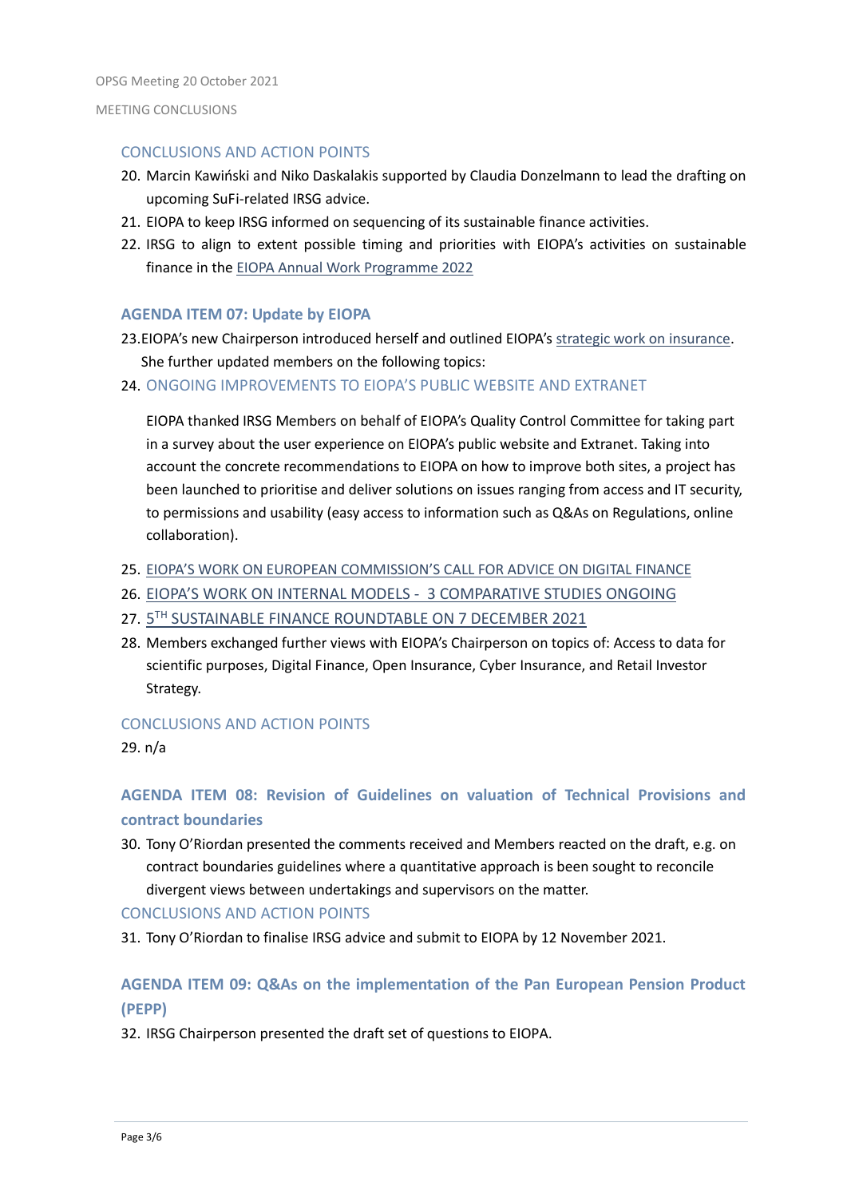#### CONCLUSIONS AND ACTION POINTS

- 20. Marcin Kawiński and Niko Daskalakis supported by Claudia Donzelmann to lead the drafting on upcoming SuFi-related IRSG advice.
- 21. EIOPA to keep IRSG informed on sequencing of its sustainable finance activities.
- 22. IRSG to align to extent possible timing and priorities with EIOPA's activities on sustainable finance in the [EIOPA Annual Work Programme 2022](https://www.eiopa.europa.eu/document-library/annual-work-programme/revised-single-programming-document-2022-2024_en#:~:text=The%20Single%20Programming%20Document%202022-2024%20sets%20out%20EIOPA%E2%80%99s,the%20macroeconomic%20environment%20and%20the%20overall%20European%20agenda.)

### **AGENDA ITEM 07: Update by EIOPA**

- 23.EIOPA's new Chairperson introduced herself and outlined EIOPA's [strategic work on insurance.](https://www.eiopa.europa.eu/media/news/eiopa-sets-out-its-strategic-priorities-coming-year_en) She further updated members on the following topics:
- 24. ONGOING IMPROVEMENTS TO EIOPA'S PUBLIC WEBSITE AND EXTRANET

EIOPA thanked IRSG Members on behalf of EIOPA's Quality Control Committee for taking part in a survey about the user experience on EIOPA's public website and Extranet. Taking into account the concrete recommendations to EIOPA on how to improve both sites, a project has been launched to prioritise and deliver solutions on issues ranging from access and IT security, to permissions and usability (easy access to information such as Q&As on Regulations, online collaboration).

- 25. [EIOPA'S WORK ON EUROPEAN COMMISSION'S CA](https://ec.europa.eu/info/sites/default/files/business_economy_euro/banking_and_finance/documents/210202-call-advice-esas-digital-finance_en.pdf)LL FOR ADVICE ON DIGITAL FINANCE
- 26. EIOPA'S WORK ON INTE[RNAL MODELS 3 COMPARATIVE STUDIES ONGOING](https://www.eiopa.europa.eu/document-library/feedback-request/study-diversification-internal-models-phase-2)
- 27. 5TH SUSTAINABLE FINANCE [ROUNDTABLE ON 7 DECEMBER 2021](https://www.eiopa.europa.eu/media/event/5th-eiopa-sustainable-finance-roundtable)
- 28. Members exchanged further views with EIOPA's Chairperson on topics of: Access to data for scientific purposes, Digital Finance, Open Insurance, Cyber Insurance, and Retail Investor Strategy.

#### CONCLUSIONS AND ACTION POINTS

29. n/a

# **AGENDA ITEM 08: Revision of Guidelines on valuation of Technical Provisions and contract boundaries**

30. Tony O'Riordan presented the comments received and Members reacted on the draft, e.g. on contract boundaries guidelines where a quantitative approach is been sought to reconcile divergent views between undertakings and supervisors on the matter.

#### CONCLUSIONS AND ACTION POINTS

31. Tony O'Riordan to finalise IRSG advice and submit to EIOPA by 12 November 2021.

# **AGENDA ITEM 09: Q&As on the implementation of the Pan European Pension Product (PEPP)**

32. IRSG Chairperson presented the draft set of questions to EIOPA.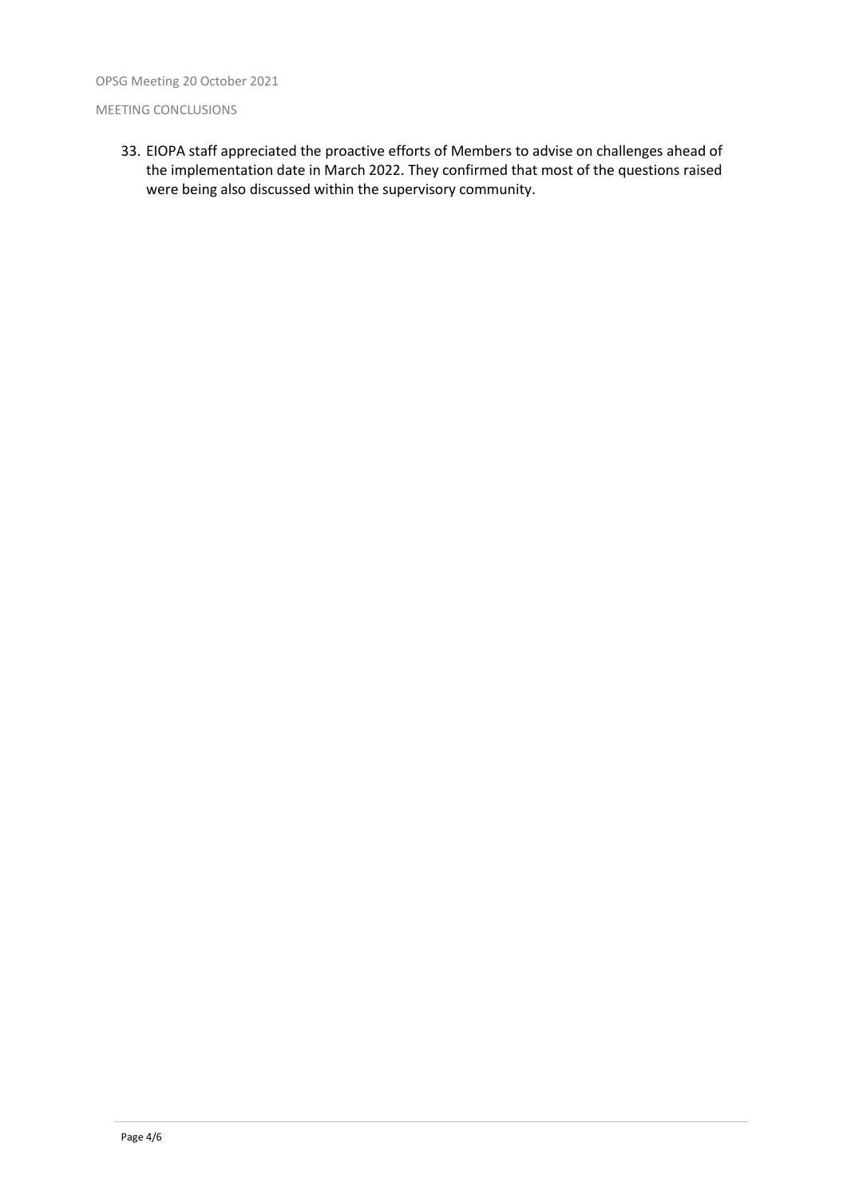OPSG Meeting 20 October 2021

#### MEETING CONCLUSIONS

33. EIOPA staff appreciated the proactive efforts of Members to advise on challenges ahead of the implementation date in March 2022. They confirmed that most of the questions raised were being also discussed within the supervisory community.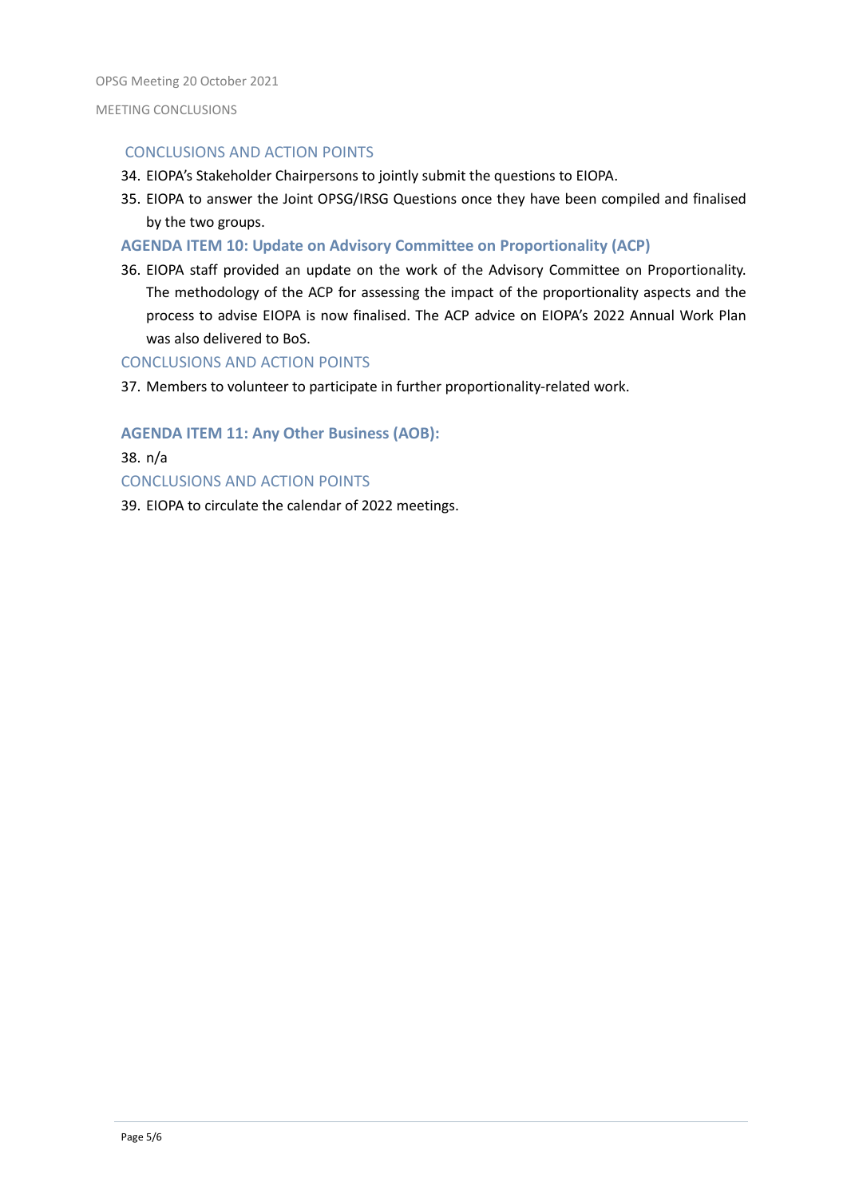#### CONCLUSIONS AND ACTION POINTS

- 34. EIOPA's Stakeholder Chairpersons to jointly submit the questions to EIOPA.
- 35. EIOPA to answer the Joint OPSG/IRSG Questions once they have been compiled and finalised by the two groups.
- **AGENDA ITEM 10: Update on Advisory Committee on Proportionality (ACP)**
- 36. EIOPA staff provided an update on the work of the Advisory Committee on Proportionality. The methodology of the ACP for assessing the impact of the proportionality aspects and the process to advise EIOPA is now finalised. The ACP advice on EIOPA's 2022 Annual Work Plan was also delivered to BoS.

#### CONCLUSIONS AND ACTION POINTS

37. Members to volunteer to participate in further proportionality-related work.

#### **AGENDA ITEM 11: Any Other Business (AOB):**

38. n/a CONCLUSIONS AND ACTION POINTS 39. EIOPA to circulate the calendar of 2022 meetings.

Page 5/6